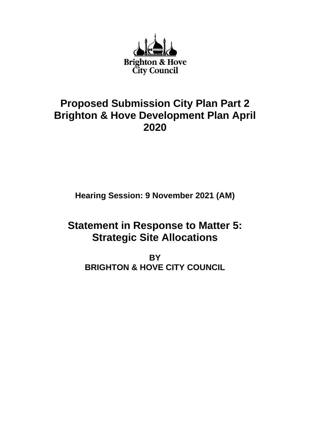

## **Proposed Submission City Plan Part 2 Brighton & Hove Development Plan April 2020**

**Hearing Session: 9 November 2021 (AM)**

# **Statement in Response to Matter 5: Strategic Site Allocations**

**BY BRIGHTON & HOVE CITY COUNCIL**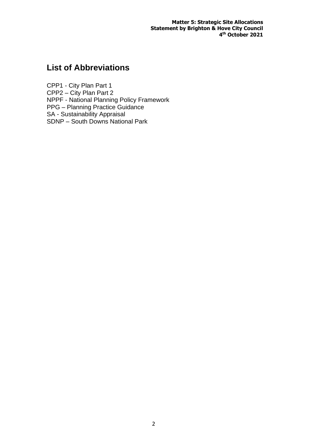**Matter 5: Strategic Site Allocations Statement by Brighton & Hove City Council 4 th October 2021**

### **List of Abbreviations**

CPP1 - City Plan Part 1 CPP2 – City Plan Part 2 NPPF - National Planning Policy Framework PPG – Planning Practice Guidance SA - Sustainability Appraisal SDNP – South Downs National Park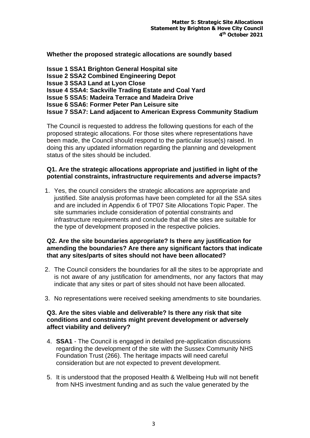**Whether the proposed strategic allocations are soundly based**

**Issue 1 SSA1 Brighton General Hospital site Issue 2 SSA2 Combined Engineering Depot Issue 3 SSA3 Land at Lyon Close Issue 4 SSA4: Sackville Trading Estate and Coal Yard Issue 5 SSA5: Madeira Terrace and Madeira Drive Issue 6 SSA6: Former Peter Pan Leisure site Issue 7 SSA7: Land adjacent to American Express Community Stadium** 

The Council is requested to address the following questions for each of the proposed strategic allocations. For those sites where representations have been made, the Council should respond to the particular issue(s) raised. In doing this any updated information regarding the planning and development status of the sites should be included.

#### **Q1. Are the strategic allocations appropriate and justified in light of the potential constraints, infrastructure requirements and adverse impacts?**

1. Yes, the council considers the strategic allocations are appropriate and justified. Site analysis proformas have been completed for all the SSA sites and are included in Appendix 6 of TP07 Site Allocations Topic Paper. The site summaries include consideration of potential constraints and infrastructure requirements and conclude that all the sites are suitable for the type of development proposed in the respective policies.

#### **Q2. Are the site boundaries appropriate? Is there any justification for amending the boundaries? Are there any significant factors that indicate that any sites/parts of sites should not have been allocated?**

- 2. The Council considers the boundaries for all the sites to be appropriate and is not aware of any justification for amendments, nor any factors that may indicate that any sites or part of sites should not have been allocated.
- 3. No representations were received seeking amendments to site boundaries.

#### **Q3. Are the sites viable and deliverable? Is there any risk that site conditions and constraints might prevent development or adversely affect viability and delivery?**

- 4. **SSA1** The Council is engaged in detailed pre-application discussions regarding the development of the site with the Sussex Community NHS Foundation Trust (266). The heritage impacts will need careful consideration but are not expected to prevent development.
- 5. It is understood that the proposed Health & Wellbeing Hub will not benefit from NHS investment funding and as such the value generated by the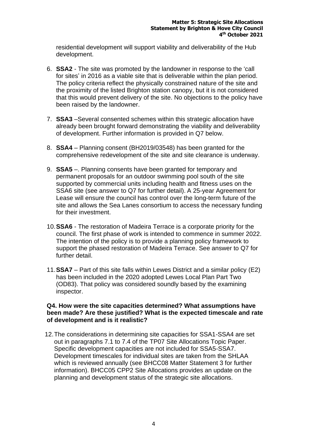residential development will support viability and deliverability of the Hub development.

- 6. **SSA2** The site was promoted by the landowner in response to the 'call for sites' in 2016 as a viable site that is deliverable within the plan period. The policy criteria reflect the physically constrained nature of the site and the proximity of the listed Brighton station canopy, but it is not considered that this would prevent delivery of the site. No objections to the policy have been raised by the landowner.
- 7. **SSA3** –Several consented schemes within this strategic allocation have already been brought forward demonstrating the viability and deliverability of development. Further information is provided in Q7 below.
- 8. **SSA4** Planning consent (BH2019/03548) has been granted for the comprehensive redevelopment of the site and site clearance is underway.
- 9. **SSA5** –. Planning consents have been granted for temporary and permanent proposals for an outdoor swimming pool south of the site supported by commercial units including health and fitness uses on the SSA6 site (see answer to Q7 for further detail). A 25-year Agreement for Lease will ensure the council has control over the long-term future of the site and allows the Sea Lanes consortium to access the necessary funding for their investment.
- 10.**SSA6** The restoration of Madeira Terrace is a corporate priority for the council. The first phase of work is intended to commence in summer 2022. The intention of the policy is to provide a planning policy framework to support the phased restoration of Madeira Terrace. See answer to Q7 for further detail.
- 11.**SSA7** Part of this site falls within Lewes District and a similar policy (E2) has been included in the 2020 adopted Lewes Local Plan Part Two (OD83). That policy was considered soundly based by the examining inspector.

#### **Q4. How were the site capacities determined? What assumptions have been made? Are these justified? What is the expected timescale and rate of development and is it realistic?**

12.The considerations in determining site capacities for SSA1-SSA4 are set out in paragraphs 7.1 to 7.4 of the TP07 Site Allocations Topic Paper. Specific development capacities are not included for SSA5-SSA7. Development timescales for individual sites are taken from the SHLAA which is reviewed annually (see BHCC08 Matter Statement 3 for further information). BHCC05 CPP2 Site Allocations provides an update on the planning and development status of the strategic site allocations.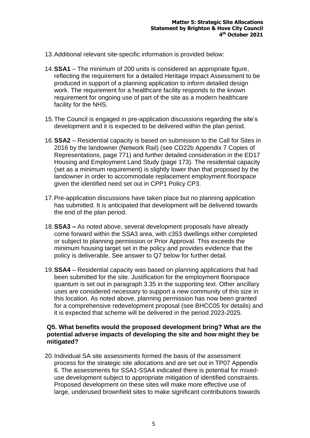- 13.Additional relevant site-specific information is provided below:
- 14.**SSA1** The minimum of 200 units is considered an appropriate figure, reflecting the requirement for a detailed Heritage Impact Assessment to be produced in support of a planning application to inform detailed design work. The requirement for a healthcare facility responds to the known requirement for ongoing use of part of the site as a modern healthcare facility for the NHS.
- 15.The Council is engaged in pre-application discussions regarding the site's development and it is expected to be delivered within the plan period.
- 16.**SSA2** Residential capacity is based on submission to the Call for Sites in 2016 by the landowner (Network Rail) (see CD22b Appendix 7 Copies of Representations, page 771) and further detailed consideration in the ED17 Housing and Employment Land Study (page 173). The residential capacity (set as a minimum requirement) is slightly lower than that proposed by the landowner in order to accommodate replacement employment floorspace given the identified need set out in CPP1 Policy CP3.
- 17.Pre-application discussions have taken place but no planning application has submitted. It is anticipated that development will be delivered towards the end of the plan period.
- 18.**SSA3 –** As noted above, several development proposals have already come forward within the SSA3 area, with c353 dwellings either completed or subject to planning permission or Prior Approval. This exceeds the minimum housing target set in the policy and provides evidence that the policy is deliverable. See answer to Q7 below for further detail.
- 19.**SSA4** Residential capacity was based on planning applications that had been submitted for the site. Justification for the employment floorspace quantum is set out in paragraph 3.35 in the supporting text. Other ancillary uses are considered necessary to support a new community of this size in this location. As noted above, planning permission has now been granted for a comprehensive redevelopment proposal (see BHCC05 for details) and it is expected that scheme will be delivered in the period 2023-2025.

#### **Q5. What benefits would the proposed development bring? What are the potential adverse impacts of developing the site and how might they be mitigated?**

20.Individual SA site assessments formed the basis of the assessment process for the strategic site allocations and are set out in TP07 Appendix 6. The assessments for SSA1-SSA4 indicated there is potential for mixeduse development subject to appropriate mitigation of identified constraints. Proposed development on these sites will make more effective use of large, underused brownfield sites to make significant contributions towards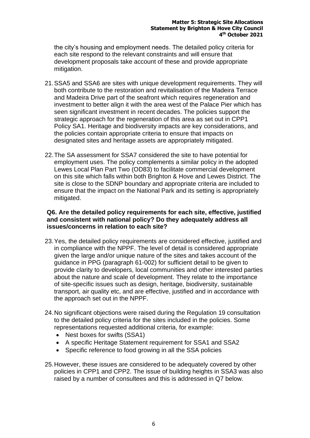the city's housing and employment needs. The detailed policy criteria for each site respond to the relevant constraints and will ensure that development proposals take account of these and provide appropriate mitigation.

- 21.SSA5 and SSA6 are sites with unique development requirements. They will both contribute to the restoration and revitalisation of the Madeira Terrace and Madeira Drive part of the seafront which requires regeneration and investment to better align it with the area west of the Palace Pier which has seen significant investment in recent decades. The policies support the strategic approach for the regeneration of this area as set out in CPP1 Policy SA1. Heritage and biodiversity impacts are key considerations, and the policies contain appropriate criteria to ensure that impacts on designated sites and heritage assets are appropriately mitigated.
- 22.The SA assessment for SSA7 considered the site to have potential for employment uses. The policy complements a similar policy in the adopted Lewes Local Plan Part Two (OD83) to facilitate commercial development on this site which falls within both Brighton & Hove and Lewes District. The site is close to the SDNP boundary and appropriate criteria are included to ensure that the impact on the National Park and its setting is appropriately mitigated.

#### **Q6. Are the detailed policy requirements for each site, effective, justified and consistent with national policy? Do they adequately address all issues/concerns in relation to each site?**

- 23.Yes, the detailed policy requirements are considered effective, justified and in compliance with the NPPF. The level of detail is considered appropriate given the large and/or unique nature of the sites and takes account of the guidance in PPG (paragraph 61-002) for sufficient detail to be given to provide clarity to developers, local communities and other interested parties about the nature and scale of development. They relate to the importance of site-specific issues such as design, heritage, biodiversity, sustainable transport, air quality etc, and are effective, justified and in accordance with the approach set out in the NPPF.
- 24.No significant objections were raised during the Regulation 19 consultation to the detailed policy criteria for the sites included in the policies. Some representations requested additional criteria, for example:
	- Nest boxes for swifts (SSA1)
	- A specific Heritage Statement requirement for SSA1 and SSA2
	- Specific reference to food growing in all the SSA policies
- 25.However, these issues are considered to be adequately covered by other policies in CPP1 and CPP2. The issue of building heights in SSA3 was also raised by a number of consultees and this is addressed in Q7 below.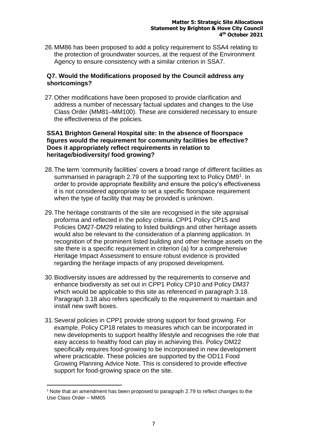26.MM86 has been proposed to add a policy requirement to SSA4 relating to the protection of groundwater sources, at the request of the Environment Agency to ensure consistency with a similar criterion in SSA7.

#### **Q7. Would the Modifications proposed by the Council address any shortcomings?**

27.Other modifications have been proposed to provide clarification and address a number of necessary factual updates and changes to the Use Class Order (MM81–MM100). These are considered necessary to ensure the effectiveness of the policies.

#### **SSA1 Brighton General Hospital site: In the absence of floorspace figures would the requirement for community facilities be effective? Does it appropriately reflect requirements in relation to heritage/biodiversity/ food growing?**

- 28.The term 'community facilities' covers a broad range of different facilities as summarised in paragraph 2.79 of the supporting text to Policy DM9<sup>1</sup>. In order to provide appropriate flexibility and ensure the policy's effectiveness it is not considered appropriate to set a specific floorspace requirement when the type of facility that may be provided is unknown.
- 29.The heritage constraints of the site are recognised in the site appraisal proforma and reflected in the policy criteria. CPP1 Policy CP15 and Policies DM27-DM29 relating to listed buildings and other heritage assets would also be relevant to the consideration of a planning application. In recognition of the prominent listed building and other heritage assets on the site there is a specific requirement in criterion (a) for a comprehensive Heritage Impact Assessment to ensure robust evidence is provided regarding the heritage impacts of any proposed development.
- 30.Biodiversity issues are addressed by the requirements to conserve and enhance biodiversity as set out in CPP1 Policy CP10 and Policy DM37 which would be applicable to this site as referenced in paragraph 3.18. Paragraph 3.18 also refers specifically to the requirement to maintain and install new swift boxes.
- 31.Several policies in CPP1 provide strong support for food growing. For example, Policy CP18 relates to measures which can be incorporated in new developments to support healthy lifestyle and recognises the role that easy access to healthy food can play in achieving this. Policy DM22 specifically requires food-growing to be incorporated in new development where practicable. These policies are supported by the OD11 Food Growing Planning Advice Note. This is considered to provide effective support for food-growing space on the site.

 $1$  Note that an amendment has been proposed to paragraph 2.79 to reflect changes to the Use Class Order – MM05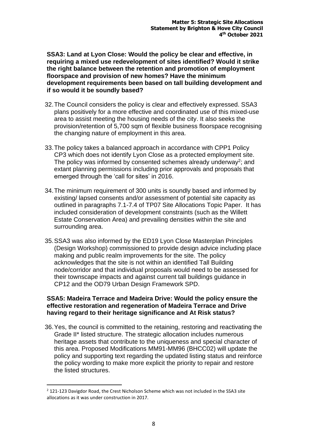**SSA3: Land at Lyon Close: Would the policy be clear and effective, in requiring a mixed use redevelopment of sites identified? Would it strike the right balance between the retention and promotion of employment floorspace and provision of new homes? Have the minimum development requirements been based on tall building development and if so would it be soundly based?** 

- 32.The Council considers the policy is clear and effectively expressed. SSA3 plans positively for a more effective and coordinated use of this mixed-use area to assist meeting the housing needs of the city. It also seeks the provision/retention of 5,700 sqm of flexible business floorspace recognising the changing nature of employment in this area.
- 33.The policy takes a balanced approach in accordance with CPP1 Policy CP3 which does not identify Lyon Close as a protected employment site. The policy was informed by consented schemes already underway<sup>2</sup>; and extant planning permissions including prior approvals and proposals that emerged through the 'call for sites' in 2016.
- 34.The minimum requirement of 300 units is soundly based and informed by existing/ lapsed consents and/or assessment of potential site capacity as outlined in paragraphs 7.1-7.4 of TP07 Site Allocations Topic Paper. It has included consideration of development constraints (such as the Willett Estate Conservation Area) and prevailing densities within the site and surrounding area.
- 35.SSA3 was also informed by the ED19 Lyon Close Masterplan Principles (Design Workshop) commissioned to provide design advice including place making and public realm improvements for the site. The policy acknowledges that the site is not within an identified Tall Building node/corridor and that individual proposals would need to be assessed for their townscape impacts and against current tall buildings guidance in CP12 and the OD79 Urban Design Framework SPD.

#### **SSA5: Madeira Terrace and Madeira Drive: Would the policy ensure the effective restoration and regeneration of Madeira Terrace and Drive having regard to their heritage significance and At Risk status?**

36.Yes, the council is committed to the retaining, restoring and reactivating the Grade II\* listed structure. The strategic allocation includes numerous heritage assets that contribute to the uniqueness and special character of this area. Proposed Modifications MM91-MM96 (BHCC02) will update the policy and supporting text regarding the updated listing status and reinforce the policy wording to make more explicit the priority to repair and restore the listed structures.

 $2$  121-123 Davigdor Road, the Crest Nicholson Scheme which was not included in the SSA3 site allocations as it was under construction in 2017.